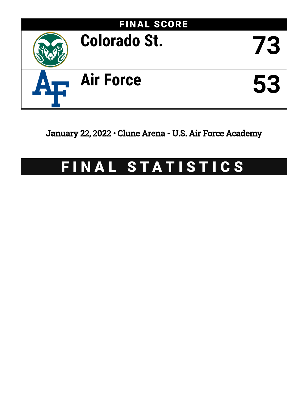

January 22, 2022 • Clune Arena - U.S. Air Force Academy

# FINAL STATISTICS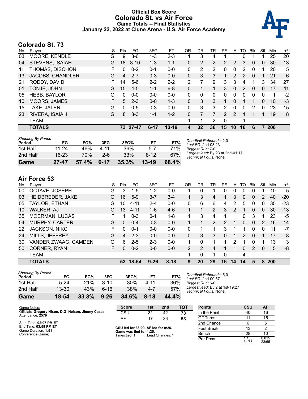### **Official Box Score Colorado St. vs Air Force Game Totals -- Final Statistics January 22, 2022 at Clune Arena - U.S. Air Force Academy**



## **Colorado St. 73**

| No. | Plaver                  | S  | Pts      | FG        | 3FG      | FT        | 0R | <b>DR</b> | TR             | PF              | A                     | TO            | <b>B</b> lk  | Stl | Min        | $+/-$ |
|-----|-------------------------|----|----------|-----------|----------|-----------|----|-----------|----------------|-----------------|-----------------------|---------------|--------------|-----|------------|-------|
| 03  | MOORE, KENDLE           | G  | 9        | $3-6$     | 1-3      | $2 - 3$   |    | 3         | 4              |                 |                       |               |              |     | 25         | 20    |
| 04  | STEVENS, ISAIAH         | G  | 18       | $8 - 10$  | $1 - 3$  | $1 - 1$   | 0  | 2         | $\overline{2}$ | 2               | 2                     | 3             | $\Omega$     | 0   | 30         | 13    |
| 11  | THOMAS, DISCHON         | F  | 0        | $0 - 2$   | $0 - 1$  | $0-0$     | 0  | 2         | $\overline{2}$ | $\Omega$        | 0                     | 2             | $\Omega$     | 1   | 20         | 5     |
| 13  | <b>JACOBS, CHANDLER</b> | G  | 4        | $2 - 7$   | $0 - 3$  | $0 - 0$   | 0  | 3         | 3              | 1               | $\mathbf{2}^{\prime}$ | $\mathcal{P}$ | $\mathbf{0}$ |     | 21         | 6     |
| 21  | RODDY, DAVID            | F. | 14       | $5-6$     | $2 - 2$  | $2 - 2$   | 2  |           | 9              | 3               | 3                     | 4             |              | 3   | 34         | 27    |
| 01  | TONJE, JOHN             | G  | 15       | $4-5$     | $1 - 1$  | $6 - 8$   | 0  | 1         | 1              | 3               | $\Omega$              | $\mathcal{P}$ | $\Omega$     | 0   | 17         | 11    |
| 05  | <b>HEBB, BAYLOR</b>     | G  | $\Omega$ | $0 - 0$   | $0 - 0$  | $0 - 0$   | 0  | 0         | $\Omega$       | 0               | 0                     | $\Omega$      | $\Omega$     | 0   | 1          | $-2$  |
| 10  | MOORS, JAMES            | F. | 5        | $2 - 3$   | $0 - 0$  | $1 - 3$   | 0  | 3         | 3              |                 | 0                     |               |              | 0   | 10         | $-3$  |
| 15  | LAKE, JALEN             | G  | 0        | $0 - 5$   | $0 - 3$  | $0 - 0$   | 0  | 3         | 3              | 2               | $\Omega$              | 0             | 2            | 0   | 23         | 15    |
| 23  | RIVERA, ISAIAH          | G  | 8        | $3 - 3$   | $1 - 1$  | $1 - 2$   | 0  |           |                | $\mathcal{P}$   | 2                     |               |              | 1   | 19         | 8     |
|     | TEAM                    |    |          |           |          |           |    | 1         | 2              | 0               |                       |               |              |     |            |       |
|     | <b>TOTALS</b>           |    | 73       | $27 - 47$ | $6 - 17$ | $13 - 19$ | 4  | 32        | 36             | 15 <sub>1</sub> | 10                    | 16            | 6            |     | <b>200</b> |       |

| Game                                | $27 - 47$ | 57.4% | $6 - 17$ | 35.3% | $13-19$  | 68.4% |                                                            |
|-------------------------------------|-----------|-------|----------|-------|----------|-------|------------------------------------------------------------|
| 2nd Half                            | 16-23     | 70%   | $2 - 6$  | 33%   | $8 - 12$ | 67%   | Largest lead: By 23 at 2nd-01:17<br>Technical Fouls: None. |
| 1st Half                            | 11-24     | 46%   | 4-11     | 36%   | $5 - 7$  | 71%   | Biggest Run: 7-0                                           |
| <b>Shooting By Period</b><br>Period | FG        | FG%   | 3FG      | 3FG%  | FТ       | FT%   | Deadball Rebounds: 2,0<br>Last FG: 2nd-03:23               |

# **Air Force 53**

| No. | Player                | S | Pts      | FG.      | 3FG      | FT.      | 0 <sub>R</sub> | DR | TR             | PF            | A  | TO | Blk            | Stl      | Min | $+/-$ |
|-----|-----------------------|---|----------|----------|----------|----------|----------------|----|----------------|---------------|----|----|----------------|----------|-----|-------|
| 00  | OCTAVE, JOSEPH        | G | 3        | $1-5$    | 1-2      | $0-0$    |                | 0  |                |               | 0  | 0  | 0              |          | 10  | $-5$  |
| 03  | HEIDBREDER, JAKE      | G | 16       | $5-9$    | $3 - 7$  | $3 - 4$  |                | 3  | 4              |               | 3  | 0  | $\overline{0}$ | 2        | 40  | $-20$ |
| 05  | TAYLOR, ETHAN         | G | 10       | 4-11     | $2 - 4$  | $0 - 0$  | 0              | 6  | 6              | 4             | 2  | 5  | 0              | 0        | 35  | $-23$ |
| 10  | <b>WALKER, AJ</b>     | G | 13       | $4 - 11$ | $1 - 6$  | $4-6$    |                |    | $\overline{2}$ | 3             | 2  |    | $\Omega$       | $\Omega$ | 30  | $-13$ |
| 35  | <b>MOERMAN, LUCAS</b> | F |          | $0 - 3$  | $0 - 1$  | $1 - 8$  | 1              | 3  | 4              |               | 1  | 0  | 3              |          | 23  | -5    |
| 04  | <b>MURPHY, CARTER</b> | G | $\Omega$ | $0 - 4$  | $0 - 3$  | $0 - 0$  |                |    | $\mathcal{P}$  | $\mathcal{P}$ |    | 0  | $\Omega$       | 2        | 16  | $-14$ |
| 22  | JACKSON, NIKC         | F | $\Omega$ | $0 - 1$  | $0 - 0$  | $0 - 0$  | $\Omega$       |    |                | 3             |    |    | 0              | 0        | 11  | $-7$  |
| 24  | MILLS, JEFFREY        | G | 4        | $2 - 3$  | $0 - 0$  | $0 - 0$  | 0              | 3  | 3              | 0             |    | 2  | $\Omega$       |          | 17  | -8    |
| 30  | VANDER ZWAAG, CAMDEN  | G | 6        | $2 - 5$  | $2 - 3$  | $0 - 0$  | 1              | 0  |                |               | 2  |    | 0              |          | 13  | 3     |
| 50  | CORNER, RYAN          | F | 0        | $0 - 2$  | $0 - 0$  | $0 - 0$  | $\mathcal{P}$  | 2  | 4              |               |    | 0  | $\mathcal{P}$  | $\Omega$ | 5   | -8    |
|     | <b>TEAM</b>           |   |          |          |          |          | 1              | 0  | 1              | $\Omega$      |    | 4  |                |          |     |       |
|     | <b>TOTALS</b>         |   | 53       | 18-54    | $9 - 26$ | $8 - 18$ | 9              | 20 | 29             | 16            | 14 | 14 | 5              | 8        | 200 |       |

| Game                                | 18-54     | 33.3% | $9 - 26$ | 34.6% | $8 - 18$ | 44.4% |
|-------------------------------------|-----------|-------|----------|-------|----------|-------|
| 2nd Half                            | $13 - 30$ | 43%   | ჩ-1ჩ     | 38%   | 4-7      | 57%   |
| 1st Half                            | $5 - 24$  | 21%   | $3 - 10$ | 30%   | 4-11     | 36%   |
| <b>Shooting By Period</b><br>Period | FG        | FG%   | 3FG      | 3FG%  | FT       | FT%   |

*Deadball Rebounds:* 5,0 *Last FG:* 2nd-00:57 *Biggest Run:* 6-0 *Largest lead:* By 2 at 1st-19:27 *Technical Fouls:* None.

| Game Notes:                                                            | <b>Score</b>                             | 1st | 2 <sub>nd</sub> | тот | <b>Points</b>     | <b>CSU</b>     | AF             |
|------------------------------------------------------------------------|------------------------------------------|-----|-----------------|-----|-------------------|----------------|----------------|
| Officials: Gregory Nixon, D.G. Nelson, Jimmy Casas<br>Attendance: 2579 | CSU                                      | 31  | 42              | 73  | In the Paint      | 40             | 16             |
|                                                                        | AF                                       | 17  | 36              | 53  | Off Turns         |                | 15             |
| Start Time: 02:07 PM ET                                                |                                          |     |                 |     | 2nd Chance        |                |                |
| End Time: 03:59 PM ET<br>Game Duration: 1:51                           | CSU led for 38:09. AF led for 0:26.      |     |                 |     | <b>Fast Break</b> |                |                |
| Conference Game:                                                       | Game was tied for 1:25.<br>Times tied: 1 |     | Lead Changes: 1 |     | Bench             | 28             | 10             |
|                                                                        |                                          |     |                 |     | Per Poss          | l.106<br>34/66 | 0.815<br>23/65 |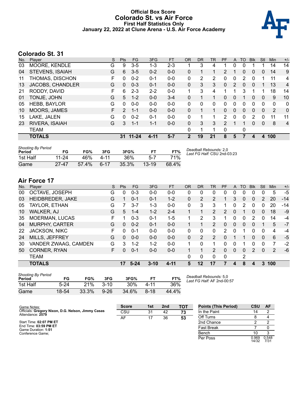### **Official Box Score Colorado St. vs Air Force First Half Statistics Only January 22, 2022 at Clune Arena - U.S. Air Force Academy**



# **Colorado St. 31**

| No. | Player                 | S  | <b>Pts</b>    | FG        | 3FG     | <b>FT</b> | <b>OR</b> | <b>DR</b> | <b>TR</b> | PF             | A                     | <b>TO</b> | <b>B</b> lk   | Stl          | Min | $+/-$          |
|-----|------------------------|----|---------------|-----------|---------|-----------|-----------|-----------|-----------|----------------|-----------------------|-----------|---------------|--------------|-----|----------------|
| 03  | MOORE, KENDLE          | G  | 9             | $3 - 5$   | 1-3     | $2 - 3$   |           | 3         | 4         |                | 0                     | 0         |               |              | 14  | 14             |
| 04  | <b>STEVENS, ISAIAH</b> | G  | 6             | $3-5$     | $0 - 2$ | $0-0$     | 0         | 1         |           | $\overline{2}$ |                       | 0         | 0             | 0            | 14  | 9              |
| 11  | THOMAS, DISCHON        | F  | 0             | $0 - 2$   | $0 - 1$ | $0 - 0$   | 0         | 2         | 2         | 0              | 0                     | 2         | $\Omega$      | 1            | 11  | 4              |
| 13  | JACOBS, CHANDLER       | G  | $\Omega$      | $0 - 3$   | $0 - 1$ | $0 - 0$   | 0         | 3         | 3         | 0              | $\mathbf{2}^{\prime}$ | $\Omega$  | $\Omega$      |              | 13  | 4              |
| 21  | RODDY, DAVID           | F  | 6             | $2 - 3$   | $2 - 2$ | $0 - 0$   | 1         | 3         | 4         |                |                       | 3         |               |              | 18  | 14             |
| 01  | TONJE, JOHN            | G  | 5             | $1 - 2$   | $0 - 0$ | $3 - 4$   | 0         | 1         |           | 0              | 0                     |           | 0             | $\mathbf{0}$ | 9   | 10             |
| 05  | <b>HEBB, BAYLOR</b>    | G  | 0             | $0 - 0$   | $0 - 0$ | $0 - 0$   | 0         | 0         | 0         | 0              | 0                     | 0         | 0             | 0            | 0   | 0              |
| 10  | MOORS, JAMES           | F. | $\mathcal{P}$ | $1 - 1$   | $0 - 0$ | $0 - 0$   | 0         | 1         | 1         | 0              | 0                     | $\Omega$  | 0             | $\mathbf{0}$ | 2   | 0              |
| 15  | LAKE, JALEN            | G  | 0             | $0 - 2$   | $0 - 1$ | $0 - 0$   | 0         | 1         |           | 2              | 0                     | 0         | $\mathcal{P}$ | 0            | 11  | 11             |
| 23  | RIVERA, ISAIAH         | G  | 3             | $1 - 1$   | $1 - 1$ | $0 - 0$   | 0         | 3         | 3         | $\mathcal{P}$  |                       |           | $\Omega$      | $\mathbf{0}$ | 8   | $\overline{4}$ |
|     | <b>TEAM</b>            |    |               |           |         |           | 0         | 1         |           | 0              |                       | 0         |               |              |     |                |
|     | <b>TOTALS</b>          |    | 31            | $11 - 24$ | 4-11    | 5-7       | 2         | 19        | 21        | 8              | 5                     |           | 4             | 4            | 100 |                |
|     |                        |    |               |           |         |           |           |           |           |                |                       |           |               |              |     |                |

| <b>Shooting By Period</b><br>Period | FG        | FG%   | 3FG      | 3FG%  |           | FT%   | Deadball Rebounds: 2,0<br>Last FG Half: CSU 2nd-03:23 |
|-------------------------------------|-----------|-------|----------|-------|-----------|-------|-------------------------------------------------------|
| 1st Half                            | $11 - 24$ | 46%   | 4-11     | 36%   | 5-7       | 71%   |                                                       |
| Game                                | $27 - 47$ | 57.4% | $6 - 17$ | 35.3% | $13 - 19$ | 68.4% |                                                       |

# **Air Force 17**

| No. | Player                  | S  | <b>Pts</b> | FG       | 3FG      | <b>FT</b> | <b>OR</b> | DR | TR             | PF            | A | <b>TO</b> | <b>Blk</b>     | Stl          | Min | $+/-$ |
|-----|-------------------------|----|------------|----------|----------|-----------|-----------|----|----------------|---------------|---|-----------|----------------|--------------|-----|-------|
| 00  | OCTAVE, JOSEPH          | G  | 0          | $0 - 3$  | $0 - 0$  | $0 - 0$   | 0         | 0  | 0              |               |   | O         | 0              |              | 5   | $-5$  |
| 03  | <b>HEIDBREDER, JAKE</b> | G  |            | $0 - 1$  | $0 - 1$  | $1 - 2$   | 0         | 2  | 2              |               | 3 | 0         | $\overline{0}$ | 2            | 20  | $-14$ |
| 05  | TAYLOR, ETHAN           | G  |            | 3-7      | 1-3      | $0 - 0$   | 0         | 3  | 3              |               | 0 | 2         | 0              | 0            | 20  | $-14$ |
| 10  | <b>WALKER, AJ</b>       | G  | 5.         | $1 - 4$  | $1 - 2$  | $2 - 4$   | 1         |    | 2              | 2             | 0 |           | $\Omega$       | 0            | 18  | -9    |
| 35  | <b>MOERMAN, LUCAS</b>   | F  |            | $0 - 3$  | $0 - 1$  | $1 - 5$   | 1         | 2  | 3              |               | 0 | 0         | 2              | <sup>0</sup> | 14  | $-4$  |
| 04  | <b>MURPHY, CARTER</b>   | G  | 0          | $0 - 2$  | $0 - 1$  | $0 - 0$   |           |    | $\overline{2}$ | 0             | 0 | 0         | $\mathbf{0}$   |              | 5   | $-7$  |
| 22  | JACKSON, NIKC           | F  | 0          | $0 - 1$  | $0 - 0$  | $0 - 0$   | 0         | 0  | 0              | $\mathcal{P}$ | 0 |           | 0              | 0            | 4   | -4    |
| 24  | MILLS, JEFFREY          | G  | 0          | $0 - 0$  | $0 - 0$  | $0 - 0$   | 0         | 2  | $\mathcal{P}$  | 0             |   |           | $\Omega$       | $\Omega$     | 6   | -5    |
| 30  | VANDER ZWAAG, CAMDEN    | G  | 3          | $1 - 2$  | $1 - 2$  | $0 - 0$   | 1.        | 0  |                | 0             | 0 |           | 0              | 0            | 7   | -2    |
| 50  | CORNER, RYAN            | F. | 0          | $0 - 1$  | $0 - 0$  | $0 - 0$   |           |    | 2              | 0             | 0 | 0         | $\mathcal{P}$  | 0            | 2   | -6    |
|     | <b>TEAM</b>             |    |            |          |          |           | 0         | 0  | 0              | 0             |   | 2         |                |              |     |       |
|     | <b>TOTALS</b>           |    | 17         | $5 - 24$ | $3 - 10$ | $4 - 11$  | 5         | 12 | 17             |               | Δ | 8         | 4              | 3            | 100 |       |

| <b>Shooting By Period</b><br>Period | FG       | FG%   | 3FG      | 3FG%  |          | FT%   |
|-------------------------------------|----------|-------|----------|-------|----------|-------|
| 1st Half                            | $5 - 24$ | 21%   | $3 - 10$ | 30%   | 4-11     | 36%   |
| Game                                | 18-54    | 33.3% | $9 - 26$ | 34.6% | $8 - 18$ | 44.4% |

*Deadball Rebounds:* 5,0 *Last FG Half:* AF 2nd-00:57

| Game Notes:                                                            | <b>Score</b> | 1st | 2 <sub>nd</sub> | тот | <b>Points (This Period)</b> | <b>CSU</b>     | AF            |
|------------------------------------------------------------------------|--------------|-----|-----------------|-----|-----------------------------|----------------|---------------|
| Officials: Gregory Nixon, D.G. Nelson, Jimmy Casas<br>Attendance: 2579 | CSU          | 31  | 42              | 73  | In the Paint                |                |               |
|                                                                        | AF           | 17  | 36              | 53  | Off Turns                   |                |               |
| Start Time: 02:07 PM ET                                                |              |     |                 |     | 2nd Chance                  |                |               |
| End Time: 03:59 PM ET<br>Game Duration: 1:51                           |              |     |                 |     | Fast Break                  |                |               |
| Conference Game:                                                       |              |     |                 |     | Bench                       |                |               |
|                                                                        |              |     |                 |     | Per Poss                    | 0.969<br>14/32 | 0.548<br>7/31 |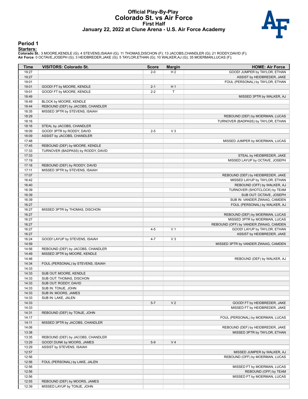#### **Official Play-By-Play Colorado St. vs Air Force First Half January 22, 2022 at Clune Arena - U.S. Air Force Academy**



#### **Period 1**

<mark>Startersː</mark><br>Colorado St.: 3 MOORE,KENDLE (G); 4 STEVENS,ISAIAH (G); 11 THOMAS,DISCHON (F); 13 JACOBS,CHANDLER (G); 21 RODDY,DAVID (F);<br>**Air Force**: 0 OCTAVE,JOSEPH (G); 3 HEIDBREDER,JAKE (G); 5 TAYLOR,ETHAN (G); 10 WALKER

| Time           | <b>VISITORS: Colorado St.</b>                           | <b>Score</b> | <b>Margin</b>  | <b>HOME: Air Force</b>                |
|----------------|---------------------------------------------------------|--------------|----------------|---------------------------------------|
| 19:27          |                                                         | $2 - 0$      | H <sub>2</sub> | GOOD! JUMPER by TAYLOR, ETHAN         |
| 19:27          |                                                         |              |                | ASSIST by HEIDBREDER, JAKE            |
| 19:01          |                                                         |              |                | FOUL (PERSONAL) by TAYLOR, ETHAN      |
| 19:01          | GOOD! FT by MOORE, KENDLE                               | $2 - 1$      | H <sub>1</sub> |                                       |
| 19:01          | GOOD! FT by MOORE, KENDLE                               | $2 - 2$      | T              |                                       |
| 18:49          |                                                         |              |                | MISSED 3PTR by WALKER, AJ             |
| 18:49          | BLOCK by MOORE, KENDLE                                  |              |                |                                       |
| 18:44          | REBOUND (DEF) by JACOBS, CHANDLER                       |              |                |                                       |
| 18:35          | MISSED 3PTR by STEVENS, ISAIAH                          |              |                |                                       |
| 18:29          |                                                         |              |                | REBOUND (DEF) by MOERMAN, LUCAS       |
| 18:16          |                                                         |              |                | TURNOVER (BADPASS) by TAYLOR, ETHAN   |
| 18:16<br>18:09 | STEAL by JACOBS, CHANDLER<br>GOOD! 3PTR by RODDY, DAVID | $2 - 5$      | $V_3$          |                                       |
| 18:09          |                                                         |              |                |                                       |
| 17:48          | ASSIST by JACOBS, CHANDLER                              |              |                | MISSED JUMPER by MOERMAN, LUCAS       |
| 17:45          | REBOUND (DEF) by MOORE, KENDLE                          |              |                |                                       |
| 17:33          | TURNOVER (BADPASS) by RODDY, DAVID                      |              |                |                                       |
| 17:33          |                                                         |              |                | STEAL by HEIDBREDER, JAKE             |
| 17:19          |                                                         |              |                | MISSED LAYUP by OCTAVE, JOSEPH        |
| 17:16          | REBOUND (DEF) by RODDY, DAVID                           |              |                |                                       |
| 17:11          | MISSED 3PTR by STEVENS, ISAIAH                          |              |                |                                       |
| 17:07          |                                                         |              |                | REBOUND (DEF) by HEIDBREDER, JAKE     |
| 16:42          |                                                         |              |                | MISSED LAYUP by TAYLOR, ETHAN         |
| 16:40          |                                                         |              |                | REBOUND (OFF) by WALKER, AJ           |
| 16:39          |                                                         |              |                | TURNOVER (SHOTCLOCK) by TEAM          |
| 16:39          |                                                         |              |                | SUB OUT: OCTAVE, JOSEPH               |
| 16:39          |                                                         |              |                | SUB IN: VANDER ZWAAG, CAMDEN          |
| 16:27          |                                                         |              |                | FOUL (PERSONAL) by WALKER, AJ         |
| 16:27          | MISSED 3PTR by THOMAS, DISCHON                          |              |                |                                       |
| 16:27          |                                                         |              |                | REBOUND (DEF) by MOERMAN, LUCAS       |
| 16:27          |                                                         |              |                | MISSED 3PTR by MOERMAN, LUCAS         |
| 16:27          |                                                         |              |                | REBOUND (OFF) by VANDER ZWAAG, CAMDEN |
| 16:27          |                                                         | $4 - 5$      | V <sub>1</sub> | GOOD! LAYUP by TAYLOR, ETHAN          |
| 16:27          |                                                         |              |                | ASSIST by HEIDBREDER, JAKE            |
| 16:24          | GOOD! LAYUP by STEVENS, ISAIAH                          | $4 - 7$      | $V_3$          |                                       |
| 14:59          |                                                         |              |                | MISSED 3PTR by VANDER ZWAAG, CAMDEN   |
| 14:56          | REBOUND (DEF) by JACOBS, CHANDLER                       |              |                |                                       |
| 14:49          | MISSED 3PTR by MOORE, KENDLE                            |              |                |                                       |
| 14:46          |                                                         |              |                | REBOUND (DEF) by WALKER, AJ           |
| 14:34          | FOUL (PERSONAL) by STEVENS, ISAIAH                      |              |                |                                       |
| 14:33          |                                                         |              |                |                                       |
| 14:33          | SUB OUT: MOORE, KENDLE                                  |              |                |                                       |
| 14:33          | SUB OUT: THOMAS, DISCHON                                |              |                |                                       |
| 14:33          | SUB OUT: RODDY, DAVID                                   |              |                |                                       |
| 14:33          | SUB IN: TONJE, JOHN                                     |              |                |                                       |
| 14:33          | SUB IN: MOORS, JAMES                                    |              |                |                                       |
| 14:33          | SUB IN: LAKE, JALEN                                     |              |                |                                       |
| 14:33          |                                                         | $5 - 7$      | V <sub>2</sub> | GOOD! FT by HEIDBREDER, JAKE          |
| 14:33          |                                                         |              |                | MISSED FT by HEIDBREDER, JAKE         |
| 14:31          | REBOUND (DEF) by TONJE, JOHN                            |              |                |                                       |
| 14:17          |                                                         |              |                | FOUL (PERSONAL) by MOERMAN, LUCAS     |
| 14:11          | MISSED 3PTR by JACOBS, CHANDLER                         |              |                |                                       |
| 14:06          |                                                         |              |                | REBOUND (DEF) by HEIDBREDER, JAKE     |
| 13:38          |                                                         |              |                | MISSED 3PTR by TAYLOR, ETHAN          |
| 13:35          | REBOUND (DEF) by JACOBS, CHANDLER                       |              |                |                                       |
| 13:29          | GOOD! DUNK by MOORS, JAMES                              | $5-9$        | V <sub>4</sub> |                                       |
| 13:29          | ASSIST by STEVENS, ISAIAH                               |              |                |                                       |
| 12:57          |                                                         |              |                | MISSED JUMPER by WALKER, AJ           |
| 12:56          |                                                         |              |                | REBOUND (OFF) by MOERMAN, LUCAS       |
| 12:56          | FOUL (PERSONAL) by LAKE, JALEN                          |              |                |                                       |
| 12:56          |                                                         |              |                | MISSED FT by MOERMAN, LUCAS           |
| 12:56<br>12:56 |                                                         |              |                | REBOUND (OFF) by TEAM                 |
| 12:55          | REBOUND (DEF) by MOORS, JAMES                           |              |                | MISSED FT by MOERMAN, LUCAS           |
| 12:39          | MISSED LAYUP by TONJE, JOHN                             |              |                |                                       |
|                |                                                         |              |                |                                       |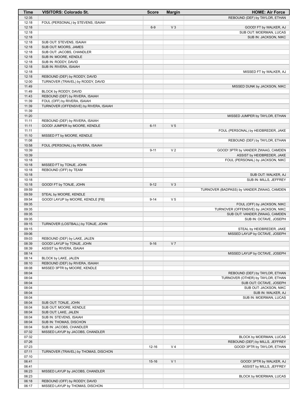| <b>Time</b>    | <b>VISITORS: Colorado St.</b>                                    | <b>Score</b> | <b>Margin</b>  | <b>HOME: Air Force</b>                                                 |
|----------------|------------------------------------------------------------------|--------------|----------------|------------------------------------------------------------------------|
| 12:35          |                                                                  |              |                | REBOUND (DEF) by TAYLOR, ETHAN                                         |
| 12:18          | FOUL (PERSONAL) by STEVENS, ISAIAH                               |              |                |                                                                        |
| 12:18          |                                                                  | $6-9$        | $V_3$          | GOOD! FT by WALKER, AJ                                                 |
| 12:18          |                                                                  |              |                | SUB OUT: MOERMAN, LUCAS                                                |
| 12:18          |                                                                  |              |                | SUB IN: JACKSON, NIKC                                                  |
| 12:18          | SUB OUT: STEVENS, ISAIAH                                         |              |                |                                                                        |
| 12:18          | SUB OUT: MOORS, JAMES                                            |              |                |                                                                        |
| 12:18          | SUB OUT: JACOBS, CHANDLER                                        |              |                |                                                                        |
| 12:18<br>12:18 | SUB IN: MOORE, KENDLE<br>SUB IN: RODDY, DAVID                    |              |                |                                                                        |
| 12:18          | SUB IN: RIVERA, ISAIAH                                           |              |                |                                                                        |
| 12:18          |                                                                  |              |                | MISSED FT by WALKER, AJ                                                |
| 12:18          | REBOUND (DEF) by RODDY, DAVID                                    |              |                |                                                                        |
| 12:00          | TURNOVER (TRAVEL) by RODDY, DAVID                                |              |                |                                                                        |
| 11:49          |                                                                  |              |                | MISSED DUNK by JACKSON, NIKC                                           |
| 11:49          | BLOCK by RODDY, DAVID                                            |              |                |                                                                        |
| 11:43          | REBOUND (DEF) by RIVERA, ISAIAH                                  |              |                |                                                                        |
| 11:39          | FOUL (OFF) by RIVERA, ISAIAH                                     |              |                |                                                                        |
| 11:39          | TURNOVER (OFFENSIVE) by RIVERA, ISAIAH                           |              |                |                                                                        |
| 11:39          |                                                                  |              |                |                                                                        |
| 11:20          |                                                                  |              |                | MISSED JUMPER by TAYLOR, ETHAN                                         |
| 11:11          | REBOUND (DEF) by RIVERA, ISAIAH                                  |              |                |                                                                        |
| 11:11          | GOOD! JUMPER by MOORE, KENDLE                                    | $6 - 11$     | V <sub>5</sub> |                                                                        |
| 11:11          |                                                                  |              |                | FOUL (PERSONAL) by HEIDBREDER, JAKE                                    |
| 11:10<br>11:08 | MISSED FT by MOORE, KENDLE                                       |              |                |                                                                        |
| 10:58          | FOUL (PERSONAL) by RIVERA, ISAIAH                                |              |                | REBOUND (DEF) by TAYLOR, ETHAN                                         |
| 10:39          |                                                                  | $9 - 11$     | V <sub>2</sub> | GOOD! 3PTR by VANDER ZWAAG, CAMDEN                                     |
| 10:39          |                                                                  |              |                | ASSIST by HEIDBREDER, JAKE                                             |
| 10:18          |                                                                  |              |                | FOUL (PERSONAL) by JACKSON, NIKC                                       |
| 10:18          | MISSED FT by TONJE, JOHN                                         |              |                |                                                                        |
| 10:18          | REBOUND (OFF) by TEAM                                            |              |                |                                                                        |
| 10:18          |                                                                  |              |                | SUB OUT: WALKER, AJ                                                    |
| 10:18          |                                                                  |              |                | SUB IN: MILLS, JEFFREY                                                 |
| 10:18          | GOOD! FT by TONJE, JOHN                                          | $9 - 12$     | $V_3$          |                                                                        |
| 09:59          |                                                                  |              |                | TURNOVER (BADPASS) by VANDER ZWAAG, CAMDEN                             |
| 09:59          | STEAL by MOORE, KENDLE                                           |              |                |                                                                        |
| 09:54          | GOOD! LAYUP by MOORE, KENDLE [FB]                                | $9 - 14$     | V <sub>5</sub> |                                                                        |
| 09:35          |                                                                  |              |                | FOUL (OFF) by JACKSON, NIKC                                            |
| 09:35<br>09:35 |                                                                  |              |                | TURNOVER (OFFENSIVE) by JACKSON, NIKC<br>SUB OUT: VANDER ZWAAG, CAMDEN |
| 09:35          |                                                                  |              |                | SUB IN: OCTAVE, JOSEPH                                                 |
| 09:15          | TURNOVER (LOSTBALL) by TONJE, JOHN                               |              |                |                                                                        |
| 09:15          |                                                                  |              |                | STEAL by HEIDBREDER, JAKE                                              |
| 09:06          |                                                                  |              |                | MISSED LAYUP by OCTAVE, JOSEPH                                         |
| 09:03          | REBOUND (DEF) by LAKE, JALEN                                     |              |                |                                                                        |
| 08:39          | GOOD! LAYUP by TONJE, JOHN                                       | $9 - 16$     | V <sub>7</sub> |                                                                        |
| 08:39          | ASSIST by RIVERA, ISAIAH                                         |              |                |                                                                        |
| 08:14          |                                                                  |              |                | MISSED LAYUP by OCTAVE, JOSEPH                                         |
| 08:14          | BLOCK by LAKE, JALEN                                             |              |                |                                                                        |
| 08:10          | REBOUND (DEF) by RIVERA, ISAIAH                                  |              |                |                                                                        |
| 08:08          | MISSED 3PTR by MOORE, KENDLE                                     |              |                |                                                                        |
| 08:04          |                                                                  |              |                | REBOUND (DEF) by TAYLOR, ETHAN                                         |
| 08:04          |                                                                  |              |                | TURNOVER (OTHER) by TAYLOR, ETHAN                                      |
| 08:04          |                                                                  |              |                | SUB OUT: OCTAVE, JOSEPH                                                |
| 08:04<br>08:04 |                                                                  |              |                | SUB OUT: JACKSON, NIKC<br>SUB IN: WALKER, AJ                           |
| 08:04          |                                                                  |              |                | SUB IN: MOERMAN, LUCAS                                                 |
| 08:04          | SUB OUT: TONJE, JOHN                                             |              |                |                                                                        |
| 08:04          | SUB OUT: MOORE, KENDLE                                           |              |                |                                                                        |
| 08:04          | SUB OUT: LAKE, JALEN                                             |              |                |                                                                        |
| 08:04          | SUB IN: STEVENS, ISAIAH                                          |              |                |                                                                        |
| 08:04          | SUB IN: THOMAS, DISCHON                                          |              |                |                                                                        |
| 08:04          | SUB IN: JACOBS, CHANDLER                                         |              |                |                                                                        |
| 07:32          | MISSED LAYUP by JACOBS, CHANDLER                                 |              |                |                                                                        |
| 07:32          |                                                                  |              |                | BLOCK by MOERMAN, LUCAS                                                |
| 07:26          |                                                                  |              |                | REBOUND (DEF) by MILLS, JEFFREY                                        |
| 07:23          |                                                                  | $12 - 16$    | V <sub>4</sub> | GOOD! 3PTR by TAYLOR, ETHAN                                            |
| 07:11          | TURNOVER (TRAVEL) by THOMAS, DISCHON                             |              |                |                                                                        |
| 07:10          |                                                                  |              |                |                                                                        |
| 06:41          |                                                                  | $15 - 16$    | V <sub>1</sub> | GOOD! 3PTR by WALKER, AJ                                               |
| 06:41          |                                                                  |              |                | ASSIST by MILLS, JEFFREY                                               |
| 06:23          | MISSED LAYUP by JACOBS, CHANDLER                                 |              |                |                                                                        |
| 06:23          |                                                                  |              |                | BLOCK by MOERMAN, LUCAS                                                |
| 06:18<br>06:17 | REBOUND (OFF) by RODDY, DAVID<br>MISSED LAYUP by THOMAS, DISCHON |              |                |                                                                        |
|                |                                                                  |              |                |                                                                        |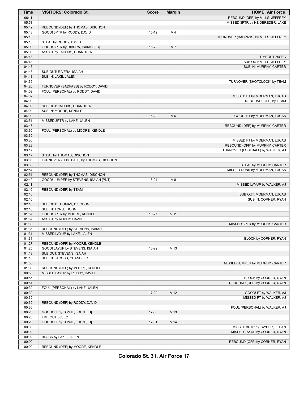| Time           | <b>VISITORS: Colorado St.</b>          | <b>Score</b> | <b>Margin</b>   | <b>HOME: Air Force</b>                               |
|----------------|----------------------------------------|--------------|-----------------|------------------------------------------------------|
| 06:11          |                                        |              |                 | REBOUND (DEF) by MILLS, JEFFREY                      |
| 05:53          |                                        |              |                 | MISSED 3PTR by HEIDBREDER, JAKE                      |
| 05:49          | REBOUND (DEF) by THOMAS, DISCHON       |              |                 |                                                      |
| 05:43          | GOOD! 3PTR by RODDY, DAVID             | 15-19        | V <sub>4</sub>  |                                                      |
| 05:15          |                                        |              |                 | TURNOVER (BADPASS) by MILLS, JEFFREY                 |
| 05:15          | STEAL by RODDY, DAVID                  |              |                 |                                                      |
| 05:09          | GOOD! 3PTR by RIVERA, ISAIAH [FB]      | $15 - 22$    | V <sub>7</sub>  |                                                      |
| 05:09          | ASSIST by JACOBS, CHANDLER             |              |                 |                                                      |
| 04:48          |                                        |              |                 | TIMEOUT 30SEC                                        |
| 04:48          |                                        |              |                 | SUB OUT: MILLS, JEFFREY                              |
| 04:48          |                                        |              |                 | SUB IN: MURPHY, CARTER                               |
| 04:48          | SUB OUT: RIVERA, ISAIAH                |              |                 |                                                      |
| 04:48          | SUB IN: LAKE, JALEN                    |              |                 |                                                      |
| 04:35          |                                        |              |                 | TURNOVER (SHOTCLOCK) by TEAM                         |
| 04:20          | TURNOVER (BADPASS) by RODDY, DAVID     |              |                 |                                                      |
| 04:09<br>04:09 | FOUL (PERSONAL) by RODDY, DAVID        |              |                 |                                                      |
| 04:09          |                                        |              |                 | MISSED FT by MOERMAN, LUCAS<br>REBOUND (OFF) by TEAM |
| 04:09          | SUB OUT: JACOBS, CHANDLER              |              |                 |                                                      |
| 04:09          | SUB IN: MOORE, KENDLE                  |              |                 |                                                      |
| 04:09          |                                        | $16 - 22$    | $V_6$           | GOOD! FT by MOERMAN, LUCAS                           |
| 03:51          | MISSED 3PTR by LAKE, JALEN             |              |                 |                                                      |
| 03:47          |                                        |              |                 | REBOUND (DEF) by MURPHY, CARTER                      |
| 03:30          | FOUL (PERSONAL) by MOORE, KENDLE       |              |                 |                                                      |
| 03:30          |                                        |              |                 |                                                      |
| 03:30          |                                        |              |                 | MISSED FT by MOERMAN, LUCAS                          |
| 03:28          |                                        |              |                 | REBOUND (OFF) by MURPHY, CARTER                      |
| 03:17          |                                        |              |                 | TURNOVER (LOSTBALL) by WALKER, AJ                    |
| 03:17          | STEAL by THOMAS, DISCHON               |              |                 |                                                      |
| 03:05          | TURNOVER (LOSTBALL) by THOMAS, DISCHON |              |                 |                                                      |
| 03:05          |                                        |              |                 | STEAL by MURPHY, CARTER                              |
| 02:54          |                                        |              |                 | MISSED DUNK by MOERMAN, LUCAS                        |
| 02:51          | REBOUND (DEF) by THOMAS, DISCHON       |              |                 |                                                      |
| 02:42          | GOOD! JUMPER by STEVENS, ISAIAH [PNT]  | 16-24        | V8              |                                                      |
| 02:11          |                                        |              |                 | MISSED LAYUP by WALKER, AJ                           |
| 02:10          | REBOUND (DEF) by TEAM                  |              |                 |                                                      |
| 02:10          |                                        |              |                 | SUB OUT: MOERMAN, LUCAS                              |
| 02:10          |                                        |              |                 | SUB IN: CORNER, RYAN                                 |
| 02:10          | SUB OUT: THOMAS, DISCHON               |              |                 |                                                      |
| 02:10          | SUB IN: TONJE, JOHN                    |              |                 |                                                      |
| 01:57          | GOOD! 3PTR by MOORE, KENDLE            | $16 - 27$    | $V$ 11          |                                                      |
| 01:57          | ASSIST by RODDY, DAVID                 |              |                 |                                                      |
| 01:39          |                                        |              |                 | MISSED 3PTR by MURPHY, CARTER                        |
| 01:36          | REBOUND (DEF) by STEVENS, ISAIAH       |              |                 |                                                      |
| 01:31          | MISSED LAYUP by LAKE, JALEN            |              |                 |                                                      |
| 01:31          |                                        |              |                 | BLOCK by CORNER, RYAN                                |
| 01:27          | REBOUND (OFF) by MOORE, KENDLE         |              |                 |                                                      |
| 01:25          | GOOD! LAYUP by STEVENS, ISAIAH         | 16-29        | V <sub>13</sub> |                                                      |
| 01:18          | SUB OUT: STEVENS, ISAIAH               |              |                 |                                                      |
| 01:18          | SUB IN: JACOBS, CHANDLER               |              |                 |                                                      |
| 01:03          |                                        |              |                 | MISSED JUMPER by MURPHY, CARTER                      |
| 01:00          | REBOUND (DEF) by MOORE, KENDLE         |              |                 |                                                      |
| 00:55          | MISSED LAYUP by RODDY, DAVID           |              |                 |                                                      |
| 00:55          |                                        |              |                 | BLOCK by CORNER, RYAN                                |
| 00:51          |                                        |              |                 | REBOUND (DEF) by CORNER, RYAN                        |
| 00:39          | FOUL (PERSONAL) by LAKE, JALEN         |              |                 |                                                      |
| 00:39          |                                        | 17-29        | V <sub>12</sub> | GOOD! FT by WALKER, AJ                               |
| 00:39          |                                        |              |                 | MISSED FT by WALKER, AJ                              |
| 00:39          | REBOUND (DEF) by RODDY, DAVID          |              |                 |                                                      |
| 00:36          |                                        |              |                 | FOUL (PERSONAL) by WALKER, AJ                        |
| 00:23          | GOOD! FT by TONJE, JOHN [FB]           | 17-30        | V <sub>13</sub> |                                                      |
| 00:23          | TIMEOUT 30SEC                          |              |                 |                                                      |
| 00:23          | GOOD! FT by TONJE, JOHN [FB]           | 17-31        | V <sub>14</sub> |                                                      |
| 00:03          |                                        |              |                 | MISSED 3PTR by TAYLOR, ETHAN                         |
| 00:02          |                                        |              |                 | MISSED LAYUP by CORNER, RYAN                         |
| 00:02          | BLOCK by LAKE, JALEN                   |              |                 |                                                      |
| 00:00          |                                        |              |                 | REBOUND (OFF) by CORNER, RYAN                        |
| 00:00          | REBOUND (DEF) by MOORE, KENDLE         |              |                 |                                                      |

**Colorado St. 31, Air Force 17**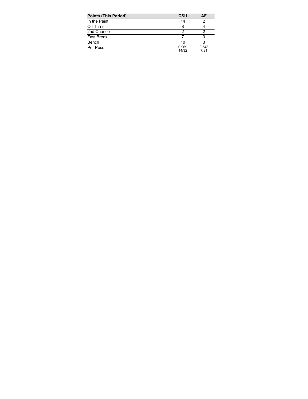| <b>Points (This Period)</b> | <b>CSU</b>     | AF            |
|-----------------------------|----------------|---------------|
| In the Paint                | 14             |               |
| Off Turns                   |                |               |
| 2nd Chance                  |                |               |
| <b>Fast Break</b>           |                |               |
| Bench                       | 10             |               |
| Per Poss                    | 0.969<br>14/32 | 0.548<br>7/31 |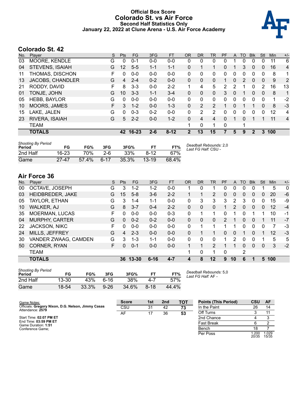### **Official Box Score Colorado St. vs Air Force Second Half Statistics Only January 22, 2022 at Clune Arena - U.S. Air Force Academy**



# **Colorado St. 42**

| No. | Plaver                  | S | <b>Pts</b>     | <b>FG</b> | 3FG     | <b>FT</b> | <b>OR</b> | <b>DR</b>    | TR           | <b>PF</b> | A | TO       | <b>B</b> lk | Stl | <b>Min</b> | $+/-$          |
|-----|-------------------------|---|----------------|-----------|---------|-----------|-----------|--------------|--------------|-----------|---|----------|-------------|-----|------------|----------------|
| 03  | MOORE, KENDLE           | G | 0              | 0-1       | $0-0$   | $0-0$     | 0         | 0            | 0            | 0         |   | 0        | 0           | 0   | 11         | 6              |
| 04  | STEVENS, ISAIAH         | G | 12             | $5 - 5$   | $1 - 1$ | $1 - 1$   | 0         | 1            | 1            | $\Omega$  |   | 3        | $\Omega$    | 0   | 16         | 4              |
| 11  | THOMAS, DISCHON         | F | 0              | $0 - 0$   | $0 - 0$ | $0 - 0$   | 0         | 0            | 0            | 0         | 0 | $\Omega$ | 0           | 0   | 8          | 1              |
| 13  | <b>JACOBS, CHANDLER</b> | G | $\overline{4}$ | $2 - 4$   | $0 - 2$ | $0 - 0$   | 0         | 0            | 0            |           | 0 | 2        | $\Omega$    | 0   | 9          | 2              |
| 21  | RODDY, DAVID            | F | 8              | $3 - 3$   | $0 - 0$ | $2 - 2$   |           | 4            | 5            | 2         | 2 |          | 0           | 2   | 16         | 13             |
| 01  | TONJE, JOHN             | G | 10             | $3 - 3$   | $1 - 1$ | $3 - 4$   | 0         | $\Omega$     | $\mathbf{0}$ | 3         | 0 |          | 0           | 0   | 8          | $\mathbf{1}$   |
| 05  | <b>HEBB, BAYLOR</b>     | G | $\Omega$       | $0 - 0$   | $0 - 0$ | $0-0$     | 0         | $\mathbf{0}$ | $\mathbf{0}$ | $\Omega$  | 0 | $\Omega$ | 0           | 0   | 1          | $-2$           |
| 10  | MOORS, JAMES            | F | 3              | $1 - 2$   | $0 - 0$ | $1 - 3$   | 0         | 2            | 2            | 1         | 0 |          |             | 0   | 8          | $-3$           |
| 15  | LAKE, JALEN             | G | $\Omega$       | $0 - 3$   | $0 - 2$ | $0 - 0$   | 0         | 2            | 2            | 0         | 0 | 0        | $\Omega$    | 0   | 12         | $\overline{4}$ |
| 23  | RIVERA, ISAIAH          | G | 5              | $2 - 2$   | $0 - 0$ | $1 - 2$   | 0         | 4            | 4            | $\Omega$  |   | 0        |             |     | 11         | 4              |
|     | TEAM                    |   |                |           |         |           | 1         | 0            | 1            | 0         |   | 1        |             |     |            |                |
|     | <b>TOTALS</b>           |   | 42             | $16 - 23$ | $2 - 6$ | $8 - 12$  | 2         | 13           | 15           |           | 5 | 9        | 2           | 3   | 100        |                |
|     |                         |   |                |           |         |           |           |              |              |           |   |          |             |     |            |                |

| <b>Shooting By Period</b><br>Period | FG        | FG%   | 3FG    | 3FG%  | FT.       | FT%   | Deadball Rebounds: 2,0<br>Last FG Half: CSU - |
|-------------------------------------|-----------|-------|--------|-------|-----------|-------|-----------------------------------------------|
| 2nd Half                            | 16-23     | 70%   | 2-6    | 33%   | 8-12      | 67%   |                                               |
| Game                                | $27 - 47$ | 57.4% | $6-17$ | 35.3% | $13 - 19$ | 68.4% |                                               |

# **Air Force 36**

| No. | Plaver                | S  | <b>Pts</b> | FG        | 3FG      | <b>FT</b> | <b>OR</b> | <b>DR</b> | TR             | PF            | A  | TO | <b>B</b> lk  | Stl      | Min | $+/-$ |
|-----|-----------------------|----|------------|-----------|----------|-----------|-----------|-----------|----------------|---------------|----|----|--------------|----------|-----|-------|
| 00  | OCTAVE, JOSEPH        | G  | 3          | $1 - 2$   | 1-2      | $0-0$     |           | 0         |                | 0             | 0  | 0  | 0            |          | 5   | 0     |
| 03  | HEIDBREDER, JAKE      | G  | 15         | $5 - 8$   | $3-6$    | $2 - 2$   | 1.        |           | $\overline{2}$ | 0             | 0  | 0  | $\mathbf{0}$ | 0        | 20  | $-6$  |
| 05  | TAYLOR, ETHAN         | G  | 3          | $1 - 4$   | $1 - 1$  | $0 - 0$   | 0         | 3         | 3              | 3             | 2  | 3  | 0            | 0        | 15  | -9    |
| 10  | <b>WALKER, AJ</b>     | G  | 8          | $3 - 7$   | $0 - 4$  | $2 - 2$   | 0         | 0         | 0              |               | 2  | 0  | $\mathbf{0}$ | $\Omega$ | 12  | $-4$  |
| 35  | MOERMAN, LUCAS        | F. | 0          | $0 - 0$   | $0 - 0$  | $0 - 3$   | 0         |           |                | 0             | 1  | 0  |              |          | 10  | -1    |
| 04  | <b>MURPHY, CARTER</b> | G  | $\Omega$   | $0 - 2$   | $0 - 2$  | $0 - 0$   | 0         | 0         | $\Omega$       | $\mathcal{P}$ |    | 0  | $\Omega$     |          | 11  | $-7$  |
| 22  | <b>JACKSON, NIKC</b>  | F. | $\Omega$   | $0 - 0$   | $0 - 0$  | $0 - 0$   | 0         |           |                |               |    | 0  | 0            | 0        | 7   | -3    |
| 24  | MILLS, JEFFREY        | G  | 4          | $2 - 3$   | $0 - 0$  | $0 - 0$   | 0         |           |                | 0             | 0  |    | 0            |          | 12  | $-3$  |
| 30  | VANDER ZWAAG, CAMDEN  | G  | 3          | $1 - 3$   | $1 - 1$  | $0 - 0$   | 0         | 0         | 0              |               | 2  | 0  | 0            |          | 5   | 5     |
| 50  | CORNER, RYAN          | F. | 0          | $0 - 1$   | $0 - 0$  | $0 - 0$   | 1         | 1         | 2              |               | 1  | 0  | $\Omega$     | $\Omega$ | 3   | $-2$  |
|     | <b>TEAM</b>           |    |            |           |          |           | 1         | 0         |                | $\Omega$      |    | 2  |              |          |     |       |
|     | <b>TOTALS</b>         |    | 36.        | $13 - 30$ | $6 - 16$ | $4 - 7$   | 4         | 8         | 12             | 9             | 10 | 6  |              | 5        | 100 |       |

| <b>Shooting By Period</b><br>Period | FG    | FG%   | 3FG      | 3FG%  |          | FT%   |
|-------------------------------------|-------|-------|----------|-------|----------|-------|
| 2nd Half                            | 13-30 | 43%   | ჩ-1ჩ     | 38%   | $4 - 7$  | 57%   |
| Game                                | 18-54 | 33.3% | $9 - 26$ | 34.6% | $8 - 18$ | 44.4% |

*Deadball Rebounds:* 5,0 *Last FG Half:* AF -

| Game Notes:                                                            | <b>Score</b> | 1st | 2 <sub>nd</sub> | <b>TOT</b> | <b>Points (This Period)</b> | <b>CSU</b>    | AF             |
|------------------------------------------------------------------------|--------------|-----|-----------------|------------|-----------------------------|---------------|----------------|
| Officials: Gregory Nixon, D.G. Nelson, Jimmy Casas<br>Attendance: 2579 | CSU          | 31  | 42              | 73         | In the Paint                | 26            | 14             |
|                                                                        | AF           | 17  | 36              | 53         | Off Turns                   |               |                |
| Start Time: 02:07 PM ET                                                |              |     |                 |            | 2nd Chance                  |               |                |
| End Time: 03:59 PM ET<br>Game Duration: 1:51                           |              |     |                 |            | <b>Fast Break</b>           |               |                |
| Conference Game:                                                       |              |     |                 |            | Bench                       | 18            |                |
|                                                                        |              |     |                 |            | Per Poss                    | .200<br>20/35 | 1.029<br>15/35 |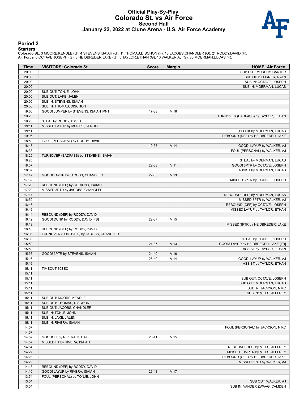### **Official Play-By-Play Colorado St. vs Air Force Second Half January 22, 2022 at Clune Arena - U.S. Air Force Academy**



### **Period 2**

<mark>Startersː</mark><br>Colorado St.: 3 MOORE,KENDLE (G); 4 STEVENS,ISAIAH (G); 11 THOMAS,DISCHON (F); 13 JACOBS,CHANDLER (G); 21 RODDY,DAVID (F);<br>**Air Force**: 0 OCTAVE,JOSEPH (G); 3 HEIDBREDER,JAKE (G); 5 TAYLOR,ETHAN (G); 10 WALKER

| Time           | <b>VISITORS: Colorado St.</b>           | <b>Score</b> | <b>Margin</b>   | <b>HOME: Air Force</b>               |
|----------------|-----------------------------------------|--------------|-----------------|--------------------------------------|
| 20:00          |                                         |              |                 | SUB OUT: MURPHY, CARTER              |
| 20:00          |                                         |              |                 | SUB OUT: CORNER, RYAN                |
| 20:00          |                                         |              |                 | SUB IN: OCTAVE, JOSEPH               |
| 20:00          |                                         |              |                 | SUB IN: MOERMAN, LUCAS               |
| 20:00          | SUB OUT: TONJE, JOHN                    |              |                 |                                      |
| 20:00          | SUB OUT: LAKE, JALEN                    |              |                 |                                      |
| 20:00          | SUB IN: STEVENS, ISAIAH                 |              |                 |                                      |
| 20:00          | SUB IN: THOMAS, DISCHON                 |              |                 |                                      |
| 19:50          | GOOD! JUMPER by STEVENS, ISAIAH [PNT]   | 17-33        | V <sub>16</sub> |                                      |
| 19:25          |                                         |              |                 | TURNOVER (BADPASS) by TAYLOR, ETHAN  |
| 19:25          | STEAL by RODDY, DAVID                   |              |                 |                                      |
| 19:11          | MISSED LAYUP by MOORE, KENDLE           |              |                 |                                      |
| 19:11          |                                         |              |                 | BLOCK by MOERMAN, LUCAS              |
| 19:06          |                                         |              |                 | REBOUND (DEF) by HEIDBREDER, JAKE    |
| 18:50          | FOUL (PERSONAL) by RODDY, DAVID         |              |                 |                                      |
| 18:43          |                                         | 19-33        | V <sub>14</sub> | GOOD! LAYUP by WALKER, AJ            |
| 18:33<br>18:25 |                                         |              |                 | FOUL (PERSONAL) by WALKER, AJ        |
| 18:25          | TURNOVER (BADPASS) by STEVENS, ISAIAH   |              |                 | STEAL by MOERMAN, LUCAS              |
| 18:07          |                                         | 22-33        | $V$ 11          | GOOD! 3PTR by OCTAVE, JOSEPH         |
| 18:07          |                                         |              |                 | ASSIST by MOERMAN, LUCAS             |
| 17:47          | GOOD! LAYUP by JACOBS, CHANDLER         | 22-35        | V <sub>13</sub> |                                      |
| 17:32          |                                         |              |                 | MISSED 3PTR by OCTAVE, JOSEPH        |
| 17:28          | REBOUND (DEF) by STEVENS, ISAIAH        |              |                 |                                      |
| 17:20          | MISSED 3PTR by JACOBS, CHANDLER         |              |                 |                                      |
| 17:17          |                                         |              |                 | REBOUND (DEF) by MOERMAN, LUCAS      |
| 16:52          |                                         |              |                 | MISSED 3PTR by WALKER, AJ            |
| 16:46          |                                         |              |                 | REBOUND (OFF) by OCTAVE, JOSEPH      |
| 16:46          |                                         |              |                 | MISSED LAYUP by TAYLOR, ETHAN        |
| 16:44          | REBOUND (DEF) by RODDY, DAVID           |              |                 |                                      |
| 16:42          | GOOD! DUNK by RODDY, DAVID [FB]         | 22-37        | V <sub>15</sub> |                                      |
| 16:19          |                                         |              |                 | MISSED 3PTR by HEIDBREDER, JAKE      |
| 16:16          | REBOUND (DEF) by RODDY, DAVID           |              |                 |                                      |
| 16:05          | TURNOVER (LOSTBALL) by JACOBS, CHANDLER |              |                 |                                      |
| 16:05          |                                         |              |                 | STEAL by OCTAVE, JOSEPH              |
| 15:59          |                                         | 24-37        | V <sub>13</sub> | GOOD! LAYUP by HEIDBREDER, JAKE [FB] |
| 15:59          |                                         |              |                 | ASSIST by TAYLOR, ETHAN              |
| 15:36          | GOOD! 3PTR by STEVENS, ISAIAH           | 24-40        | $V$ 16          |                                      |
| 15:16          |                                         | 26-40        | V <sub>14</sub> | GOOD! LAYUP by WALKER, AJ            |
| 15:16          |                                         |              |                 | ASSIST by TAYLOR, ETHAN              |
| 15:11          | TIMEOUT 30SEC                           |              |                 |                                      |
| 15:11          |                                         |              |                 |                                      |
| 15:11          |                                         |              |                 | SUB OUT: OCTAVE, JOSEPH              |
| 15:11          |                                         |              |                 | SUB OUT: MOERMAN, LUCAS              |
| 15:11          |                                         |              |                 | SUB IN: JACKSON, NIKC                |
| 15:11          |                                         |              |                 | SUB IN: MILLS, JEFFREY               |
| 15:11          | SUB OUT: MOORE, KENDLE                  |              |                 |                                      |
| 15:11          | SUB OUT: THOMAS, DISCHON                |              |                 |                                      |
| 15:11          | SUB OUT: JACOBS, CHANDLER               |              |                 |                                      |
| 15:11          | SUB IN: TONJE, JOHN                     |              |                 |                                      |
| 15:11          | SUB IN: LAKE, JALEN                     |              |                 |                                      |
| 15:11          | SUB IN: RIVERA, ISAIAH                  |              |                 |                                      |
| 14:57          |                                         |              |                 | FOUL (PERSONAL) by JACKSON, NIKC     |
| 14:57          |                                         |              |                 |                                      |
| 14:57          | GOOD! FT by RIVERA, ISAIAH              | 26-41        | V <sub>15</sub> |                                      |
| 14:57          | MISSED FT by RIVERA, ISAIAH             |              |                 |                                      |
| 14:54          |                                         |              |                 | REBOUND (DEF) by MILLS, JEFFREY      |
| 14:27          |                                         |              |                 | MISSED JUMPER by MILLS, JEFFREY      |
| 14:23          |                                         |              |                 | REBOUND (OFF) by HEIDBREDER, JAKE    |
| 14:22          |                                         |              |                 | MISSED 3PTR by WALKER, AJ            |
| 14:18          | REBOUND (DEF) by RODDY, DAVID           |              |                 |                                      |
| 14:10          | GOOD! LAYUP by RIVERA, ISAIAH           | 26-43        | V 17            |                                      |
| 13:54          | FOUL (PERSONAL) by TONJE, JOHN          |              |                 |                                      |
| 13:54          |                                         |              |                 | SUB OUT: WALKER, AJ                  |
| 13:54          |                                         |              |                 | SUB IN: VANDER ZWAAG, CAMDEN         |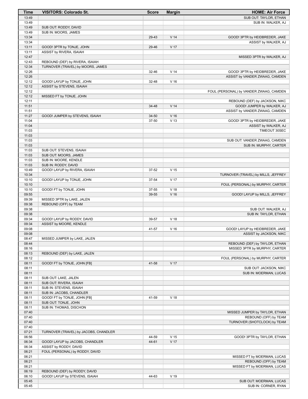| Time           | <b>VISITORS: Colorado St.</b>                          | <b>Score</b> | <b>Margin</b>   | <b>HOME: Air Force</b>                  |
|----------------|--------------------------------------------------------|--------------|-----------------|-----------------------------------------|
| 13:49          |                                                        |              |                 | SUB OUT: TAYLOR, ETHAN                  |
| 13:49          |                                                        |              |                 | SUB IN: WALKER, AJ                      |
| 13:49          | SUB OUT: RODDY, DAVID                                  |              |                 |                                         |
| 13:49          | SUB IN: MOORS, JAMES                                   |              |                 |                                         |
| 13:34          |                                                        | 29-43        | V <sub>14</sub> | GOOD! 3PTR by HEIDBREDER, JAKE          |
| 13:34          |                                                        |              |                 | ASSIST by WALKER, AJ                    |
| 13:11<br>13:11 | GOOD! 3PTR by TONJE, JOHN<br>ASSIST by RIVERA, ISAIAH  | 29-46        | V 17            |                                         |
| 12:47          |                                                        |              |                 | MISSED 3PTR by WALKER, AJ               |
| 12:43          | REBOUND (DEF) by RIVERA, ISAIAH                        |              |                 |                                         |
| 12:34          | TURNOVER (TRAVEL) by MOORS, JAMES                      |              |                 |                                         |
| 12:26          |                                                        | 32-46        | V <sub>14</sub> | GOOD! 3PTR by HEIDBREDER, JAKE          |
| 12:26          |                                                        |              |                 | ASSIST by VANDER ZWAAG, CAMDEN          |
| 12:12          | GOOD! LAYUP by TONJE, JOHN                             | 32-48        | V <sub>16</sub> |                                         |
| 12:12          | ASSIST by STEVENS, ISAIAH                              |              |                 |                                         |
| 12:12          |                                                        |              |                 | FOUL (PERSONAL) by VANDER ZWAAG, CAMDEN |
| 12:12          | MISSED FT by TONJE, JOHN                               |              |                 |                                         |
| 12:11          |                                                        |              |                 | REBOUND (DEF) by JACKSON, NIKC          |
| 11:51          |                                                        | 34-48        | V <sub>14</sub> | GOOD! JUMPER by WALKER, AJ              |
| 11:51          |                                                        |              |                 | ASSIST by VANDER ZWAAG, CAMDEN          |
| 11:27          | GOOD! JUMPER by STEVENS, ISAIAH                        | 34-50        | $V$ 16          |                                         |
| 11:04          |                                                        | 37-50        | V <sub>13</sub> | GOOD! 3PTR by HEIDBREDER, JAKE          |
| 11:04          |                                                        |              |                 | ASSIST by WALKER, AJ                    |
| 11:03<br>11:03 |                                                        |              |                 | TIMEOUT 30SEC                           |
| 11:03          |                                                        |              |                 | SUB OUT: VANDER ZWAAG, CAMDEN           |
| 11:03          |                                                        |              |                 | SUB IN: MURPHY, CARTER                  |
| 11:03          | SUB OUT: STEVENS, ISAIAH                               |              |                 |                                         |
| 11:03          | SUB OUT: MOORS, JAMES                                  |              |                 |                                         |
| 11:03          | SUB IN: MOORE, KENDLE                                  |              |                 |                                         |
| 11:03          | SUB IN: RODDY, DAVID                                   |              |                 |                                         |
| 10:49          | GOOD! LAYUP by RIVERA, ISAIAH                          | 37-52        | V <sub>15</sub> |                                         |
| 10:34          |                                                        |              |                 | TURNOVER (TRAVEL) by MILLS, JEFFREY     |
| 10:10          | GOOD! LAYUP by TONJE, JOHN                             | 37-54        | V <sub>17</sub> |                                         |
| 10:10          |                                                        |              |                 | FOUL (PERSONAL) by MURPHY, CARTER       |
| 10:10          | GOOD! FT by TONJE, JOHN                                | 37-55        | V <sub>18</sub> |                                         |
| 09:55          |                                                        | 39-55        | $V$ 16          | GOOD! LAYUP by MILLS, JEFFREY           |
| 09:39          | MISSED 3PTR by LAKE, JALEN                             |              |                 |                                         |
| 09:38          | REBOUND (OFF) by TEAM                                  |              |                 |                                         |
| 09:38          |                                                        |              |                 | SUB OUT: WALKER, AJ                     |
| 09:38<br>09:34 |                                                        |              | V <sub>18</sub> | SUB IN: TAYLOR, ETHAN                   |
| 09:34          | GOOD! LAYUP by RODDY, DAVID<br>ASSIST by MOORE, KENDLE | 39-57        |                 |                                         |
| 09:08          |                                                        | 41-57        | V <sub>16</sub> | GOOD! LAYUP by HEIDBREDER, JAKE         |
| 09:08          |                                                        |              |                 | ASSIST by JACKSON, NIKC                 |
| 08:47          | MISSED JUMPER by LAKE, JALEN                           |              |                 |                                         |
| 08:44          |                                                        |              |                 | REBOUND (DEF) by TAYLOR, ETHAN          |
| 08:16          |                                                        |              |                 | MISSED 3PTR by MURPHY, CARTER           |
| 08:13          | REBOUND (DEF) by LAKE, JALEN                           |              |                 |                                         |
| 08:12          |                                                        |              |                 | FOUL (PERSONAL) by MURPHY, CARTER       |
| 08:11          | GOOD! FT by TONJE, JOHN [FB]                           | 41-58        | V 17            |                                         |
| 08:11          |                                                        |              |                 | SUB OUT: JACKSON, NIKC                  |
| 08:11          |                                                        |              |                 | SUB IN: MOERMAN, LUCAS                  |
| 08:11          | SUB OUT: LAKE, JALEN                                   |              |                 |                                         |
| 08:11          | SUB OUT: RIVERA, ISAIAH                                |              |                 |                                         |
| 08:11          | SUB IN: STEVENS, ISAIAH                                |              |                 |                                         |
| 08:11          | SUB IN: JACOBS, CHANDLER                               |              |                 |                                         |
| 08:11          | GOOD! FT by TONJE, JOHN [FB]                           | 41-59        | V <sub>18</sub> |                                         |
| 08:11<br>08:11 | SUB OUT: TONJE, JOHN<br>SUB IN: THOMAS, DISCHON        |              |                 |                                         |
| 07:40          |                                                        |              |                 | MISSED JUMPER by TAYLOR, ETHAN          |
| 07:40          |                                                        |              |                 | REBOUND (OFF) by TEAM                   |
| 07:40          |                                                        |              |                 | TURNOVER (SHOTCLOCK) by TEAM            |
| 07:40          |                                                        |              |                 |                                         |
| 07:21          | TURNOVER (TRAVEL) by JACOBS, CHANDLER                  |              |                 |                                         |
| 06:56          |                                                        | 44-59        | V <sub>15</sub> | GOOD! 3PTR by TAYLOR, ETHAN             |
| 06:34          | GOOD! LAYUP by JACOBS, CHANDLER                        | 44-61        | V <sub>17</sub> |                                         |
| 06:34          | ASSIST by RODDY, DAVID                                 |              |                 |                                         |
| 06:21          | FOUL (PERSONAL) by RODDY, DAVID                        |              |                 |                                         |
| 06:21          |                                                        |              |                 | MISSED FT by MOERMAN, LUCAS             |
| 06:21          |                                                        |              |                 | REBOUND (OFF) by TEAM                   |
| 06:21          |                                                        |              |                 | MISSED FT by MOERMAN, LUCAS             |
| 06:19          | REBOUND (DEF) by RODDY, DAVID                          |              |                 |                                         |
| 06:10          | GOOD! LAYUP by STEVENS, ISAIAH                         | 44-63        | $V$ 19          |                                         |
| 05:45          |                                                        |              |                 | SUB OUT: MOERMAN, LUCAS                 |
| 05:45          |                                                        |              |                 | SUB IN: CORNER, RYAN                    |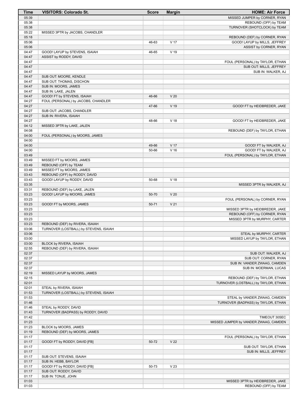| Time           | <b>VISITORS: Colorado St.</b>                            | <b>Score</b>   | <b>Margin</b>                      | <b>HOME: Air Force</b>                                     |
|----------------|----------------------------------------------------------|----------------|------------------------------------|------------------------------------------------------------|
| 05:39          |                                                          |                |                                    | MISSED JUMPER by CORNER, RYAN                              |
| 05:38          |                                                          |                |                                    | REBOUND (OFF) by TEAM                                      |
| 05:38          |                                                          |                |                                    | TURNOVER (SHOTCLOCK) by TEAM                               |
| 05:22          | MISSED 3PTR by JACOBS, CHANDLER                          |                |                                    |                                                            |
| 05:18          |                                                          |                |                                    | REBOUND (DEF) by CORNER, RYAN                              |
| 05:06          |                                                          | 46-63          | V <sub>17</sub>                    | GOOD! LAYUP by MILLS, JEFFREY                              |
| 05:06          |                                                          |                |                                    | ASSIST by CORNER, RYAN                                     |
| 04:47<br>04:47 | GOOD! LAYUP by STEVENS, ISAIAH<br>ASSIST by RODDY, DAVID | 46-65          | $V$ 19                             |                                                            |
| 04:47          |                                                          |                |                                    | FOUL (PERSONAL) by TAYLOR, ETHAN                           |
| 04:47          |                                                          |                |                                    | SUB OUT: MILLS, JEFFREY                                    |
| 04:47          |                                                          |                |                                    | SUB IN: WALKER, AJ                                         |
| 04:47          | SUB OUT: MOORE, KENDLE                                   |                |                                    |                                                            |
| 04:47          | SUB OUT: THOMAS, DISCHON                                 |                |                                    |                                                            |
| 04:47          | SUB IN: MOORS, JAMES                                     |                |                                    |                                                            |
| 04:47          | SUB IN: LAKE, JALEN                                      |                |                                    |                                                            |
| 04:47          | GOOD! FT by STEVENS, ISAIAH                              | 46-66          | V <sub>20</sub>                    |                                                            |
| 04:27          | FOUL (PERSONAL) by JACOBS, CHANDLER                      |                |                                    |                                                            |
| 04:27          |                                                          | 47-66          | V 19                               | GOOD! FT by HEIDBREDER, JAKE                               |
| 04:27          | SUB OUT: JACOBS, CHANDLER                                |                |                                    |                                                            |
| 04:27          | SUB IN: RIVERA, ISAIAH                                   |                |                                    |                                                            |
| 04:27          |                                                          | 48-66          | V <sub>18</sub>                    | GOOD! FT by HEIDBREDER, JAKE                               |
| 04:12          | MISSED 3PTR by LAKE, JALEN                               |                |                                    |                                                            |
| 04:08          |                                                          |                |                                    | REBOUND (DEF) by TAYLOR, ETHAN                             |
| 04:00          | FOUL (PERSONAL) by MOORS, JAMES                          |                |                                    |                                                            |
| 04:00          |                                                          |                |                                    |                                                            |
| 04:00<br>04:00 |                                                          | 49-66<br>50-66 | V <sub>17</sub><br>V <sub>16</sub> | GOOD! FT by WALKER, AJ                                     |
| 03:49          |                                                          |                |                                    | GOOD! FT by WALKER, AJ<br>FOUL (PERSONAL) by TAYLOR, ETHAN |
| 03:49          | MISSED FT by MOORS, JAMES                                |                |                                    |                                                            |
| 03:49          | REBOUND (OFF) by TEAM                                    |                |                                    |                                                            |
| 03:49          | MISSED FT by MOORS, JAMES                                |                |                                    |                                                            |
| 03:43          | REBOUND (OFF) by RODDY, DAVID                            |                |                                    |                                                            |
| 03:43          | GOOD! LAYUP by RODDY, DAVID                              | 50-68          | V <sub>18</sub>                    |                                                            |
| 03:35          |                                                          |                |                                    | MISSED 3PTR by WALKER, AJ                                  |
| 03:31          | REBOUND (DEF) by LAKE, JALEN                             |                |                                    |                                                            |
| 03:23          | GOOD! LAYUP by MOORS, JAMES                              | 50-70          | V <sub>20</sub>                    |                                                            |
| 03:23          |                                                          |                |                                    | FOUL (PERSONAL) by CORNER, RYAN                            |
| 03:23          | GOOD! FT by MOORS, JAMES                                 | 50-71          | V <sub>21</sub>                    |                                                            |
| 03:23          |                                                          |                |                                    | MISSED 3PTR by HEIDBREDER, JAKE                            |
| 03:23          |                                                          |                |                                    | REBOUND (OFF) by CORNER, RYAN                              |
| 03:23          |                                                          |                |                                    | MISSED 3PTR by MURPHY, CARTER                              |
| 03:23          | REBOUND (DEF) by RIVERA, ISAIAH                          |                |                                    |                                                            |
| 03:06          | TURNOVER (LOSTBALL) by STEVENS, ISAIAH                   |                |                                    |                                                            |
| 03:06          |                                                          |                |                                    | STEAL by MURPHY, CARTER                                    |
| 03:00          |                                                          |                |                                    | MISSED LAYUP by TAYLOR, ETHAN                              |
| 03:00          | BLOCK by RIVERA, ISAIAH                                  |                |                                    |                                                            |
| 02:55<br>02:37 | REBOUND (DEF) by RIVERA, ISAIAH                          |                |                                    |                                                            |
| 02:37          |                                                          |                |                                    | SUB OUT: WALKER, AJ<br>SUB OUT: CORNER, RYAN               |
| 02:37          |                                                          |                |                                    | SUB IN: VANDER ZWAAG, CAMDEN                               |
| 02:37          |                                                          |                |                                    | SUB IN: MOERMAN, LUCAS                                     |
| 02:19          | MISSED LAYUP by MOORS, JAMES                             |                |                                    |                                                            |
| 02:15          |                                                          |                |                                    | REBOUND (DEF) by TAYLOR, ETHAN                             |
| 02:01          |                                                          |                |                                    | TURNOVER (LOSTBALL) by TAYLOR, ETHAN                       |
| 02:01          | STEAL by RIVERA, ISAIAH                                  |                |                                    |                                                            |
| 01:53          | TURNOVER (LOSTBALL) by STEVENS, ISAIAH                   |                |                                    |                                                            |
| 01:53          |                                                          |                |                                    | STEAL by VANDER ZWAAG, CAMDEN                              |
| 01:46          |                                                          |                |                                    | TURNOVER (BADPASS) by TAYLOR, ETHAN                        |
| 01:46          | STEAL by RODDY, DAVID                                    |                |                                    |                                                            |
| 01:43          | TURNOVER (BADPASS) by RODDY, DAVID                       |                |                                    |                                                            |
| 01:42          |                                                          |                |                                    | TIMEOUT 30SEC                                              |
| 01:23          |                                                          |                |                                    | MISSED JUMPER by VANDER ZWAAG, CAMDEN                      |
| 01:23          | BLOCK by MOORS, JAMES                                    |                |                                    |                                                            |
| 01:19          | REBOUND (DEF) by MOORS, JAMES                            |                |                                    |                                                            |
| 01:17          |                                                          |                |                                    | FOUL (PERSONAL) by TAYLOR, ETHAN                           |
| 01:17          | GOOD! FT by RODDY, DAVID [FB]                            | 50-72          | V <sub>22</sub>                    |                                                            |
| 01:17          |                                                          |                |                                    | SUB OUT: TAYLOR, ETHAN                                     |
| 01:17          |                                                          |                |                                    | SUB IN: MILLS, JEFFREY                                     |
| 01:17<br>01:17 | SUB OUT: STEVENS, ISAIAH                                 |                |                                    |                                                            |
| 01:17          | SUB IN: HEBB, BAYLOR<br>GOOD! FT by RODDY, DAVID [FB]    | 50-73          | V <sub>23</sub>                    |                                                            |
| 01:17          | SUB OUT: RODDY, DAVID                                    |                |                                    |                                                            |
| 01:17          | SUB IN: TONJE, JOHN                                      |                |                                    |                                                            |
| 01:03          |                                                          |                |                                    | MISSED 3PTR by HEIDBREDER, JAKE                            |
| 01:03          |                                                          |                |                                    | REBOUND (OFF) by TEAM                                      |
|                |                                                          |                |                                    |                                                            |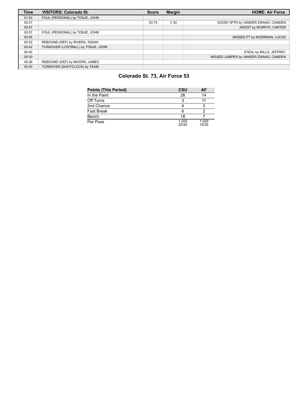| <b>Time</b> | <b>VISITORS: Colorado St.</b>      | <b>Score</b> | <b>Margin</b>   | <b>HOME: Air Force</b>                |
|-------------|------------------------------------|--------------|-----------------|---------------------------------------|
| 01:03       | FOUL (PERSONAL) by TONJE, JOHN     |              |                 |                                       |
| 00:57       |                                    | 53-73        | V <sub>20</sub> | GOOD! 3PTR by VANDER ZWAAG, CAMDEN    |
| 00:57       |                                    |              |                 | ASSIST by MURPHY, CARTER              |
| 00:57       | FOUL (PERSONAL) by TONJE, JOHN     |              |                 |                                       |
| 00:55       |                                    |              |                 | MISSED FT by MOERMAN, LUCAS           |
| 00:52       | REBOUND (DEF) by RIVERA, ISAIAH    |              |                 |                                       |
| 00:42       | TURNOVER (LOSTBALL) by TONJE, JOHN |              |                 |                                       |
| 00:42       |                                    |              |                 | STEAL by MILLS, JEFFREY               |
| 00:30       |                                    |              |                 | MISSED JUMPER by VANDER ZWAAG, CAMDEN |
| 00:26       | REBOUND (DEF) by MOORS, JAMES      |              |                 |                                       |
| 00:00       | TURNOVER (SHOTCLOCK) by TEAM       |              |                 |                                       |

# **Colorado St. 73, Air Force 53**

| <b>Points (This Period)</b> | <b>CSU</b>     | AF             |
|-----------------------------|----------------|----------------|
| In the Paint                | 26             | 14             |
| Off Turns                   | 3              |                |
| 2nd Chance                  |                | ◠              |
| <b>Fast Break</b>           | 6              |                |
| Bench                       | 18             |                |
| Per Poss                    | 1.200<br>20/35 | 1.029<br>15/35 |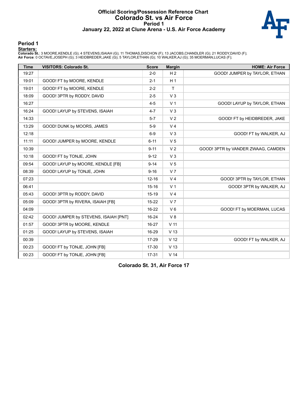#### **Official Scoring/Possession Reference Chart Colorado St. vs Air Force Period 1 January 22, 2022 at Clune Arena - U.S. Air Force Academy**



#### **Period 1**

#### **Starters:**

Colorado St.: 3 MOORE,KENDLE (G); 4 STEVENS,ISAIAH (G); 11 THOMAS,DISCHON (F); 13 JACOBS,CHANDLER (G); 21 RODDY,DAVID (F);<br>**Air Force**: 0 OCTAVE,JOSEPH (G); 3 HEIDBREDER,JAKE (G); 5 TAYLOR,ETHAN (G); 10 WALKER,AJ (G); 35 M

| <b>Time</b> | <b>VISITORS: Colorado St.</b>         | <b>Score</b> | <b>Margin</b>   | <b>HOME: Air Force</b>             |
|-------------|---------------------------------------|--------------|-----------------|------------------------------------|
| 19:27       |                                       | $2 - 0$      | H <sub>2</sub>  | GOOD! JUMPER by TAYLOR, ETHAN      |
| 19:01       | GOOD! FT by MOORE, KENDLE             | $2 - 1$      | H <sub>1</sub>  |                                    |
| 19:01       | GOOD! FT by MOORE, KENDLE             | $2 - 2$      | $\mathsf{T}$    |                                    |
| 18:09       | GOOD! 3PTR by RODDY, DAVID            | $2 - 5$      | V <sub>3</sub>  |                                    |
| 16:27       |                                       | $4 - 5$      | V <sub>1</sub>  | GOOD! LAYUP by TAYLOR, ETHAN       |
| 16:24       | GOOD! LAYUP by STEVENS, ISAIAH        | $4 - 7$      | V <sub>3</sub>  |                                    |
| 14:33       |                                       | $5 - 7$      | V <sub>2</sub>  | GOOD! FT by HEIDBREDER, JAKE       |
| 13:29       | GOOD! DUNK by MOORS, JAMES            | $5-9$        | V <sub>4</sub>  |                                    |
| 12:18       |                                       | $6-9$        | V <sub>3</sub>  | GOOD! FT by WALKER, AJ             |
| 11:11       | GOOD! JUMPER by MOORE, KENDLE         | $6 - 11$     | V <sub>5</sub>  |                                    |
| 10:39       |                                       | $9 - 11$     | V <sub>2</sub>  | GOOD! 3PTR by VANDER ZWAAG, CAMDEN |
| 10:18       | GOOD! FT by TONJE, JOHN               | $9 - 12$     | V <sub>3</sub>  |                                    |
| 09:54       | GOOD! LAYUP by MOORE, KENDLE [FB]     | $9 - 14$     | V <sub>5</sub>  |                                    |
| 08:39       | GOOD! LAYUP by TONJE, JOHN            | $9 - 16$     | V <sub>7</sub>  |                                    |
| 07:23       |                                       | $12 - 16$    | V <sub>4</sub>  | GOOD! 3PTR by TAYLOR, ETHAN        |
| 06:41       |                                       | $15 - 16$    | V <sub>1</sub>  | GOOD! 3PTR by WALKER, AJ           |
| 05:43       | GOOD! 3PTR by RODDY, DAVID            | $15-19$      | V <sub>4</sub>  |                                    |
| 05:09       | GOOD! 3PTR by RIVERA, ISAIAH [FB]     | 15-22        | V <sub>7</sub>  |                                    |
| 04:09       |                                       | 16-22        | $V_6$           | GOOD! FT by MOERMAN, LUCAS         |
| 02:42       | GOOD! JUMPER by STEVENS, ISAIAH [PNT] | 16-24        | V8              |                                    |
| 01:57       | GOOD! 3PTR by MOORE, KENDLE           | 16-27        | V <sub>11</sub> |                                    |
| 01:25       | GOOD! LAYUP by STEVENS, ISAIAH        | 16-29        | V <sub>13</sub> |                                    |
| 00:39       |                                       | 17-29        | V <sub>12</sub> | GOOD! FT by WALKER, AJ             |
| 00:23       | GOOD! FT by TONJE, JOHN [FB]          | 17-30        | V <sub>13</sub> |                                    |
| 00:23       | GOOD! FT by TONJE, JOHN [FB]          | 17-31        | V <sub>14</sub> |                                    |

**Colorado St. 31, Air Force 17**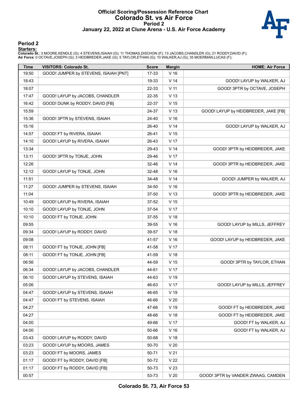#### **Official Scoring/Possession Reference Chart Colorado St. vs Air Force Period 2 January 22, 2022 at Clune Arena - U.S. Air Force Academy**



#### **Period 2**

#### **Starters:**

Colorado St.: 3 MOORE,KENDLE (G); 4 STEVENS,ISAIAH (G); 11 THOMAS,DISCHON (F); 13 JACOBS,CHANDLER (G); 21 RODDY,DAVID (F);<br>**Air Force**: 0 OCTAVE,JOSEPH (G); 3 HEIDBREDER,JAKE (G); 5 TAYLOR,ETHAN (G); 10 WALKER,AJ (G); 35 M

| <b>Time</b> | <b>VISITORS: Colorado St.</b>         | <b>Score</b> | <b>Margin</b>   | <b>HOME: Air Force</b>               |
|-------------|---------------------------------------|--------------|-----------------|--------------------------------------|
| 19:50       | GOOD! JUMPER by STEVENS, ISAIAH [PNT] | 17-33        | V <sub>16</sub> |                                      |
| 18:43       |                                       | 19-33        | V <sub>14</sub> | GOOD! LAYUP by WALKER, AJ            |
| 18:07       |                                       | 22-33        | $V$ 11          | GOOD! 3PTR by OCTAVE, JOSEPH         |
| 17:47       | GOOD! LAYUP by JACOBS, CHANDLER       | 22-35        | V <sub>13</sub> |                                      |
| 16:42       | GOOD! DUNK by RODDY, DAVID [FB]       | 22-37        | V <sub>15</sub> |                                      |
| 15:59       |                                       | 24-37        | V <sub>13</sub> | GOOD! LAYUP by HEIDBREDER, JAKE [FB] |
| 15:36       | GOOD! 3PTR by STEVENS, ISAIAH         | 24-40        | $V$ 16          |                                      |
| 15:16       |                                       | 26-40        | V <sub>14</sub> | GOOD! LAYUP by WALKER, AJ            |
| 14:57       | GOOD! FT by RIVERA, ISAIAH            | 26-41        | V <sub>15</sub> |                                      |
| 14:10       | GOOD! LAYUP by RIVERA, ISAIAH         | 26-43        | V 17            |                                      |
| 13:34       |                                       | 29-43        | V <sub>14</sub> | GOOD! 3PTR by HEIDBREDER, JAKE       |
| 13:11       | GOOD! 3PTR by TONJE, JOHN             | 29-46        | V <sub>17</sub> |                                      |
| 12:26       |                                       | 32-46        | V <sub>14</sub> | GOOD! 3PTR by HEIDBREDER, JAKE       |
| 12:12       | GOOD! LAYUP by TONJE, JOHN            | 32-48        | V <sub>16</sub> |                                      |
| 11:51       |                                       | 34-48        | V <sub>14</sub> | GOOD! JUMPER by WALKER, AJ           |
| 11:27       | GOOD! JUMPER by STEVENS, ISAIAH       | 34-50        | $V$ 16          |                                      |
| 11:04       |                                       | 37-50        | V <sub>13</sub> | GOOD! 3PTR by HEIDBREDER, JAKE       |
| 10:49       | GOOD! LAYUP by RIVERA, ISAIAH         | 37-52        | V 15            |                                      |
| 10:10       | GOOD! LAYUP by TONJE, JOHN            | 37-54        | V <sub>17</sub> |                                      |
| 10:10       | GOOD! FT by TONJE, JOHN               | 37-55        | $V$ 18          |                                      |
| 09:55       |                                       | 39-55        | $V$ 16          | GOOD! LAYUP by MILLS, JEFFREY        |
| 09:34       | GOOD! LAYUP by RODDY, DAVID           | 39-57        | V 18            |                                      |
| 09:08       |                                       | 41-57        | $V$ 16          | GOOD! LAYUP by HEIDBREDER, JAKE      |
| 08:11       | GOOD! FT by TONJE, JOHN [FB]          | 41-58        | V <sub>17</sub> |                                      |
| 08:11       | GOOD! FT by TONJE, JOHN [FB]          | 41-59        | $V$ 18          |                                      |
| 06:56       |                                       | 44-59        | V 15            | GOOD! 3PTR by TAYLOR, ETHAN          |
| 06:34       | GOOD! LAYUP by JACOBS, CHANDLER       | 44-61        | V <sub>17</sub> |                                      |
| 06:10       | GOOD! LAYUP by STEVENS, ISAIAH        | 44-63        | V 19            |                                      |
| 05:06       |                                       | 46-63        | V <sub>17</sub> | GOOD! LAYUP by MILLS, JEFFREY        |
| 04:47       | GOOD! LAYUP by STEVENS, ISAIAH        | 46-65        | $V$ 19          |                                      |
| 04:47       | GOOD! FT by STEVENS, ISAIAH           | 46-66        | V <sub>20</sub> |                                      |
| 04:27       |                                       | 47-66        | V 19            | GOOD! FT by HEIDBREDER, JAKE         |
| 04:27       |                                       | 48-66        | $V$ 18          | GOOD! FT by HEIDBREDER, JAKE         |
| 04:00       |                                       | 49-66        | V 17            | GOOD! FT by WALKER, AJ               |
| 04:00       |                                       | 50-66        | V <sub>16</sub> | GOOD! FT by WALKER, AJ               |
| 03:43       | GOOD! LAYUP by RODDY, DAVID           | 50-68        | V <sub>18</sub> |                                      |
| 03:23       | GOOD! LAYUP by MOORS, JAMES           | 50-70        | V <sub>20</sub> |                                      |
| 03:23       | GOOD! FT by MOORS, JAMES              | 50-71        | V <sub>21</sub> |                                      |
| 01:17       | GOOD! FT by RODDY, DAVID [FB]         | 50-72        | V <sub>22</sub> |                                      |
| 01:17       | GOOD! FT by RODDY, DAVID [FB]         | 50-73        | V <sub>23</sub> |                                      |
| 00:57       |                                       | 53-73        | V <sub>20</sub> | GOOD! 3PTR by VANDER ZWAAG, CAMDEN   |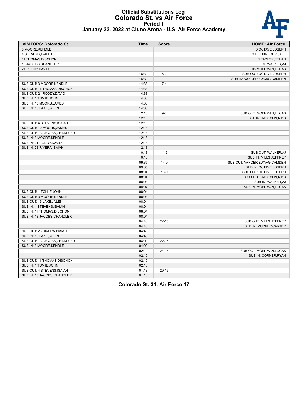#### **Official Substitutions Log Colorado St. vs Air Force Period 1 January 22, 2022 at Clune Arena - U.S. Air Force Academy**



| January 22, 2022 at Clune Arena - U.S. Air Force Academy |  |  |  |  |  |  |
|----------------------------------------------------------|--|--|--|--|--|--|
|----------------------------------------------------------|--|--|--|--|--|--|

| <b>VISITORS: Colorado St.</b> | <b>Time</b> | <b>Score</b> | <b>HOME: Air Force</b>        |
|-------------------------------|-------------|--------------|-------------------------------|
| 3 MOORE.KENDLE                |             |              | 0 OCTAVE.JOSEPH               |
| 4 STEVENS, ISAIAH             |             |              | 3 HEIDBREDER, JAKE            |
| 11 THOMAS, DISCHON            |             |              | 5 TAYLOR, ETHAN               |
| 13 JACOBS, CHANDLER           |             |              | 10 WALKER, AJ                 |
| 21 RODDY, DAVID               |             |              | 35 MOERMAN, LUCAS             |
|                               | 16:39       | $5-2$        | SUB OUT: OCTAVE, JOSEPH       |
|                               | 16:39       |              | SUB IN: VANDER ZWAAG.CAMDEN   |
| SUB OUT: 3 MOORE, KENDLE      | 14:33       | $7 - 4$      |                               |
| SUB OUT: 11 THOMAS, DISCHON   | 14:33       |              |                               |
| SUB OUT: 21 RODDY, DAVID      | 14:33       |              |                               |
| SUB IN: 1 TONJE, JOHN         | 14:33       |              |                               |
| SUB IN: 10 MOORS, JAMES       | 14:33       |              |                               |
| SUB IN: 15 LAKE, JALEN        | 14:33       |              |                               |
|                               | 12:18       | $9-6$        | SUB OUT: MOERMAN, LUCAS       |
|                               | 12:18       |              | SUB IN: JACKSON, NIKC         |
| SUB OUT: 4 STEVENS, ISAIAH    | 12:18       |              |                               |
| SUB OUT: 10 MOORS, JAMES      | 12:18       |              |                               |
| SUB OUT: 13 JACOBS, CHANDLER  | 12:18       |              |                               |
| SUB IN: 3 MOORE.KENDLE        | 12:18       |              |                               |
| SUB IN: 21 RODDY, DAVID       | 12:18       |              |                               |
| SUB IN: 23 RIVERA, ISAIAH     | 12:18       |              |                               |
|                               | 10:18       | $11 - 9$     | SUB OUT: WALKER, AJ           |
|                               | 10:18       |              | SUB IN: MILLS, JEFFREY        |
|                               | 09:35       | $14-9$       | SUB OUT: VANDER ZWAAG, CAMDEN |
|                               | 09:35       |              | SUB IN: OCTAVE, JOSEPH        |
|                               | 08:04       | $16-9$       | SUB OUT: OCTAVE, JOSEPH       |
|                               | 08:04       |              | SUB OUT: JACKSON, NIKC        |
|                               | 08:04       |              | SUB IN: WALKER, AJ            |
|                               | 08:04       |              | SUB IN: MOERMAN, LUCAS        |
| SUB OUT: 1 TONJE, JOHN        | 08:04       |              |                               |
| SUB OUT: 3 MOORE, KENDLE      | 08:04       |              |                               |
| SUB OUT: 15 LAKE, JALEN       | 08:04       |              |                               |
| SUB IN: 4 STEVENS, ISAIAH     | 08:04       |              |                               |
|                               |             |              |                               |
| SUB IN: 11 THOMAS, DISCHON    | 08:04       |              |                               |
| SUB IN: 13 JACOBS, CHANDLER   | 08:04       |              |                               |
|                               | 04:48       | $22 - 15$    | SUB OUT: MILLS, JEFFREY       |
|                               | 04:48       |              | SUB IN: MURPHY, CARTER        |
| SUB OUT: 23 RIVERA, ISAIAH    | 04:48       |              |                               |
| SUB IN: 15 LAKE, JALEN        | 04:48       |              |                               |
| SUB OUT: 13 JACOBS, CHANDLER  | 04:09       | $22 - 15$    |                               |
| SUB IN: 3 MOORE, KENDLE       | 04:09       |              |                               |
|                               | 02:10       | $24 - 16$    | SUB OUT: MOERMAN, LUCAS       |
|                               | 02:10       |              | SUB IN: CORNER, RYAN          |
| SUB OUT: 11 THOMAS, DISCHON   | 02:10       |              |                               |
| SUB IN: 1 TONJE, JOHN         | 02:10       |              |                               |
| SUB OUT: 4 STEVENS, ISAIAH    | 01:18       | 29-16        |                               |
| SUB IN: 13 JACOBS, CHANDLER   | 01:18       |              |                               |

**Colorado St. 31, Air Force 17**